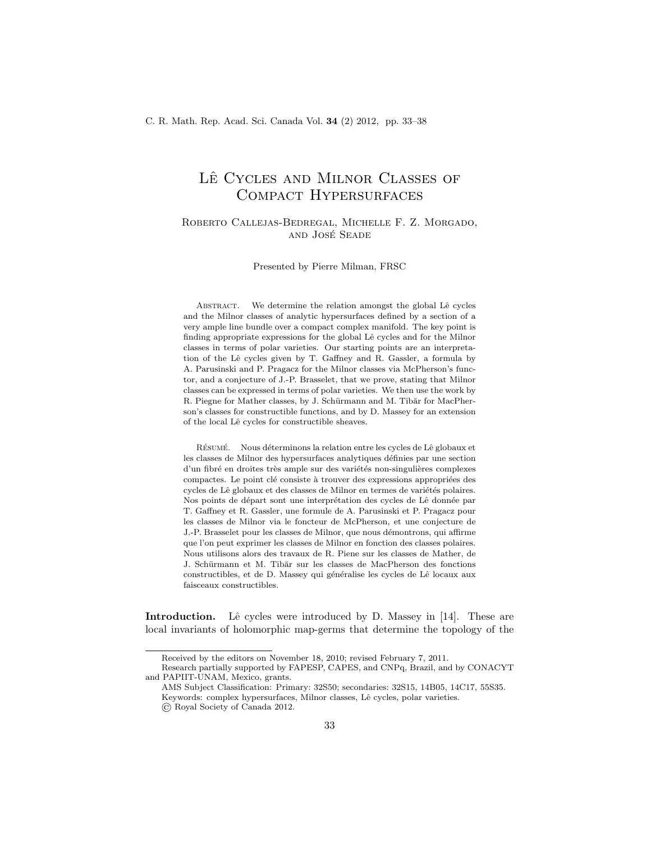## LÊ CYCLES AND MILNOR CLASSES OF Compact Hypersurfaces

## Roberto Callejas-Bedregal, Michelle F. Z. Morgado, and Jose Seade ´

Presented by Pierre Milman, FRSC

ABSTRACT. We determine the relation amongst the global Lê cycles and the Milnor classes of analytic hypersurfaces defined by a section of a very ample line bundle over a compact complex manifold. The key point is finding appropriate expressions for the global Lê cycles and for the Milnor classes in terms of polar varieties. Our starting points are an interpretation of the Lˆe cycles given by T. Gaffney and R. Gassler, a formula by A. Parusinski and P. Pragacz for the Milnor classes via McPherson's functor, and a conjecture of J.-P. Brasselet, that we prove, stating that Milnor classes can be expressed in terms of polar varieties. We then use the work by R. Piegne for Mather classes, by J. Schürmann and M. Tibăr for MacPherson's classes for constructible functions, and by D. Massey for an extension of the local Lê cycles for constructible sheaves.

RÉSUMÉ. Nous déterminons la relation entre les cycles de Lê globaux et les classes de Milnor des hypersurfaces analytiques définies par une section d'un fibré en droites très ample sur des variétés non-singulières complexes compactes. Le point clé consiste à trouver des expressions appropriées des cycles de Lê globaux et des classes de Milnor en termes de variétés polaires. Nos points de départ sont une interprétation des cycles de Lê donnée par T. Gaffney et R. Gassler, une formule de A. Parusinski et P. Pragacz pour les classes de Milnor via le foncteur de McPherson, et une conjecture de J.-P. Brasselet pour les classes de Milnor, que nous démontrons, qui affirme que l'on peut exprimer les classes de Milnor en fonction des classes polaires. Nous utilisons alors des travaux de R. Piene sur les classes de Mather, de J. Schürmann et M. Tibăr sur les classes de MacPherson des fonctions constructibles, et de D. Massey qui généralise les cycles de Lê locaux aux faisceaux constructibles.

**Introduction.** Lê cycles were introduced by D. Massey in  $[14]$ . These are local invariants of holomorphic map-germs that determine the topology of the

Received by the editors on November 18, 2010; revised February 7, 2011.

Research partially supported by FAPESP, CAPES, and CNPq, Brazil, and by CONACYT and PAPIIT-UNAM, Mexico, grants.

AMS Subject Classification: Primary: 32S50; secondaries: 32S15, 14B05, 14C17, 55S35. Keywords: complex hypersurfaces, Milnor classes, Lê cycles, polar varieties. © Royal Society of Canada 2012.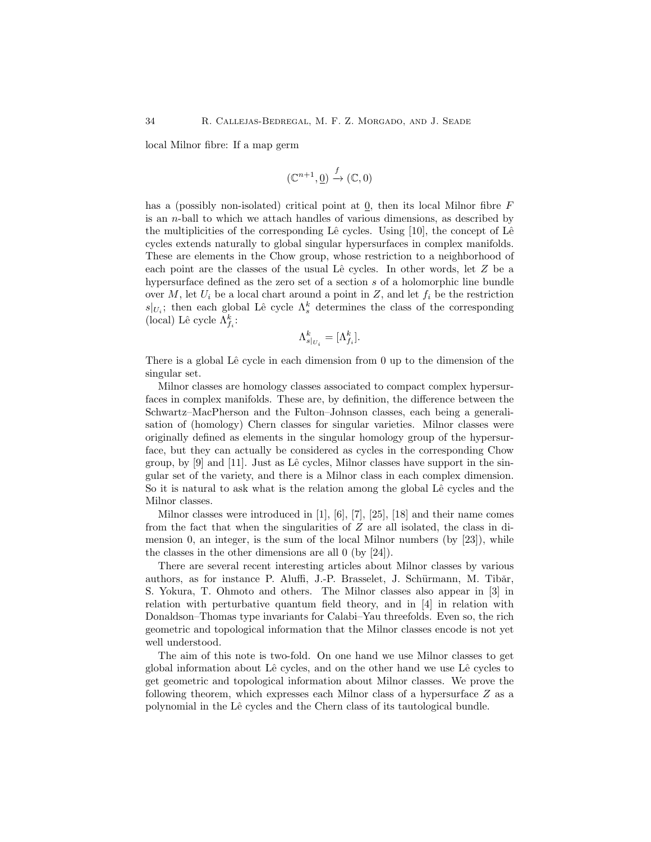local Milnor fibre: If a map germ

$$
(\mathbb{C}^{n+1},\underline{0})\xrightarrow{f}(\mathbb{C},0)
$$

has a (possibly non-isolated) critical point at 0, then its local Milnor fibre  $F$ is an n-ball to which we attach handles of various dimensions, as described by the multiplicities of the corresponding Lê cycles. Using  $[10]$ , the concept of Lê cycles extends naturally to global singular hypersurfaces in complex manifolds. These are elements in the Chow group, whose restriction to a neighborhood of each point are the classes of the usual Lê cycles. In other words, let  $Z$  be a hypersurface defined as the zero set of a section s of a holomorphic line bundle over M, let  $U_i$  be a local chart around a point in Z, and let  $f_i$  be the restriction  $s|_{U_i}$ ; then each global Lê cycle  $\Lambda_s^k$  determines the class of the corresponding (local) Lê cycle $\Lambda_{f_i}^k\colon$ 

$$
\Lambda^k_{s|_{U_i}} = [\Lambda^k_{f_i}].
$$

There is a global Lê cycle in each dimension from  $0$  up to the dimension of the singular set.

Milnor classes are homology classes associated to compact complex hypersurfaces in complex manifolds. These are, by definition, the difference between the Schwartz–MacPherson and the Fulton–Johnson classes, each being a generalisation of (homology) Chern classes for singular varieties. Milnor classes were originally defined as elements in the singular homology group of the hypersurface, but they can actually be considered as cycles in the corresponding Chow group, by  $[9]$  and  $[11]$ . Just as Lê cycles, Milnor classes have support in the singular set of the variety, and there is a Milnor class in each complex dimension. So it is natural to ask what is the relation among the global Lê cycles and the Milnor classes.

Milnor classes were introduced in [1], [6], [7], [25], [18] and their name comes from the fact that when the singularities of  $Z$  are all isolated, the class in dimension 0, an integer, is the sum of the local Milnor numbers (by [23]), while the classes in the other dimensions are all 0 (by [24]).

There are several recent interesting articles about Milnor classes by various authors, as for instance P. Aluffi, J.-P. Brasselet, J. Schürmann, M. Tibăr, S. Yokura, T. Ohmoto and others. The Milnor classes also appear in [3] in relation with perturbative quantum field theory, and in [4] in relation with Donaldson–Thomas type invariants for Calabi–Yau threefolds. Even so, the rich geometric and topological information that the Milnor classes encode is not yet well understood.

The aim of this note is two-fold. On one hand we use Milnor classes to get global information about Lˆe cycles, and on the other hand we use Lˆe cycles to get geometric and topological information about Milnor classes. We prove the following theorem, which expresses each Milnor class of a hypersurface Z as a polynomial in the Lˆe cycles and the Chern class of its tautological bundle.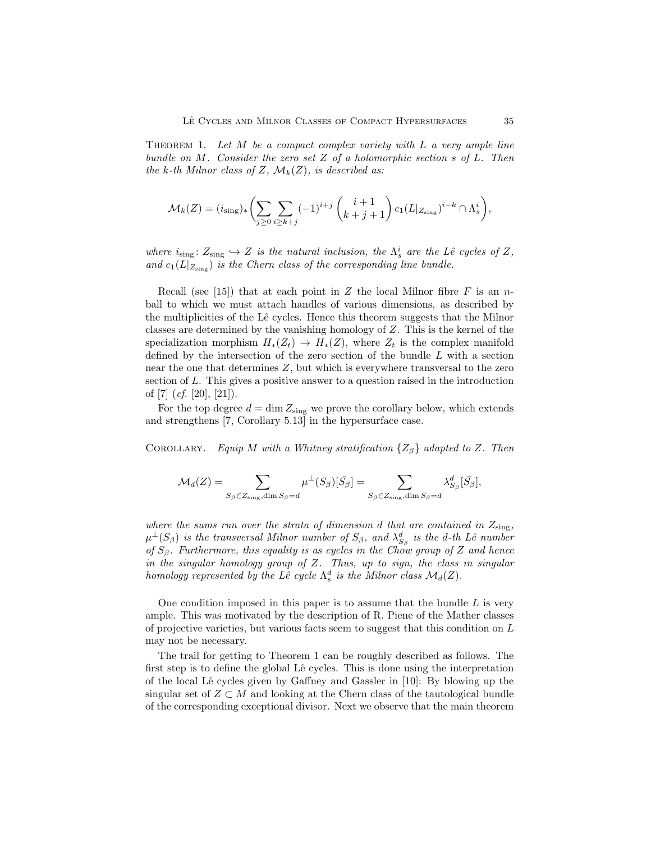THEOREM 1. Let  $M$  be a compact complex variety with  $L$  a very ample line bundle on M. Consider the zero set  $Z$  of a holomorphic section  $s$  of  $L$ . Then the k-th Milnor class of Z,  $\mathcal{M}_k(Z)$ , is described as:

$$
\mathcal{M}_k(Z) = (i_{\text{sing}})_* \left( \sum_{j \ge 0} \sum_{i \ge k+j} (-1)^{i+j} \binom{i+1}{k+j+1} c_1(L|_{Z_{\text{sing}}})^{i-k} \cap \Lambda_s^i \right),
$$

where  $i_{sing} : Z_{sing} \hookrightarrow Z$  is the natural inclusion, the  $\Lambda_s^i$  are the Lê cycles of Z, and  $c_1(L|_{Z_{sing}})$  is the Chern class of the corresponding line bundle.

Recall (see [15]) that at each point in Z the local Milnor fibre F is an nball to which we must attach handles of various dimensions, as described by the multiplicities of the Lê cycles. Hence this theorem suggests that the Milnor classes are determined by the vanishing homology of Z. This is the kernel of the specialization morphism  $H_*(Z_t) \to H_*(Z)$ , where  $Z_t$  is the complex manifold defined by the intersection of the zero section of the bundle L with a section near the one that determines Z, but which is everywhere transversal to the zero section of L. This gives a positive answer to a question raised in the introduction of [7]  $(cf. [20], [21]$ .

For the top degree  $d = \dim Z_{sing}$  we prove the corollary below, which extends and strengthens [7, Corollary 5.13] in the hypersurface case.

COROLLARY. Equip M with a Whitney stratification  $\{Z_\beta\}$  adapted to Z. Then

$$
\mathcal{M}_d(Z)=\sum_{S_\beta\in Z_\mathrm{sing},\dim S_\beta=d}\mu^\perp(S_\beta)[\bar{S_\beta}]=\sum_{S_\beta\in Z_\mathrm{sing},\dim S_\beta=d}\lambda_{S_\beta}^d[\bar{S_\beta}],
$$

where the sums run over the strata of dimension d that are contained in  $Z_{sing}$ ,  $\mu^\perp(S_\beta)$  is the transversal Milnor number of  $S_\beta$ , and  $\lambda_{S_\beta}^d$  is the d-th Lê number of  $S_\beta$ . Furthermore, this equality is as cycles in the Chow group of Z and hence in the singular homology group of  $Z$ . Thus, up to sign, the class in singular homology represented by the Lê cycle  $\Lambda_s^d$  is the Milnor class  $\mathcal{M}_d(Z)$ .

One condition imposed in this paper is to assume that the bundle  $L$  is very ample. This was motivated by the description of R. Piene of the Mather classes of projective varieties, but various facts seem to suggest that this condition on  $L$ may not be necessary.

The trail for getting to Theorem 1 can be roughly described as follows. The first step is to define the global Lê cycles. This is done using the interpretation of the local Lê cycles given by Gaffney and Gassler in  $[10]$ : By blowing up the singular set of  $Z \subset M$  and looking at the Chern class of the tautological bundle of the corresponding exceptional divisor. Next we observe that the main theorem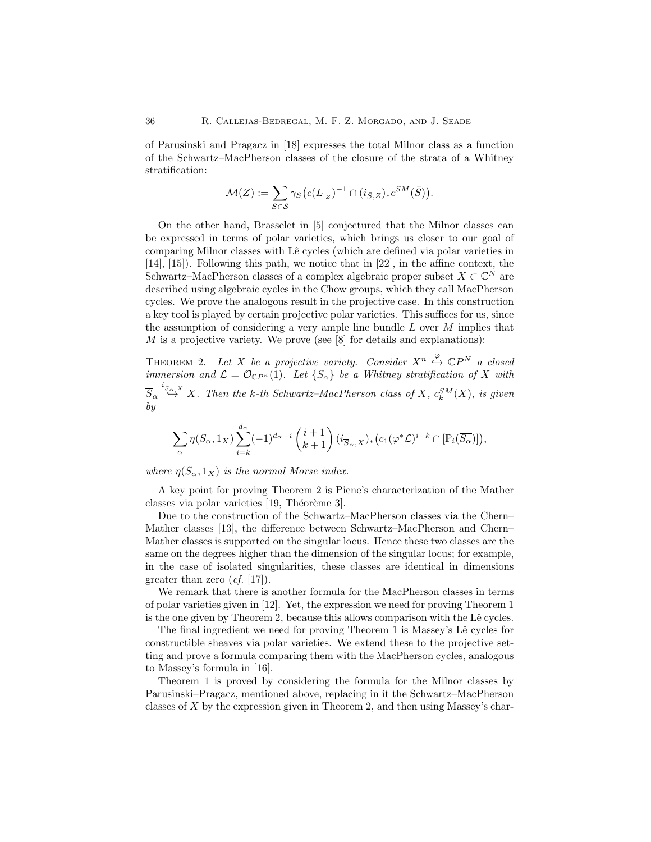of Parusinski and Pragacz in [18] expresses the total Milnor class as a function of the Schwartz–MacPherson classes of the closure of the strata of a Whitney stratification:

$$
\mathcal{M}(Z) := \sum_{S \in \mathcal{S}} \gamma_S \big( c(L_{|Z})^{-1} \cap (i_{\bar{S},Z})_* c^{SM}(\bar{S}) \big).
$$

On the other hand, Brasselet in [5] conjectured that the Milnor classes can be expressed in terms of polar varieties, which brings us closer to our goal of comparing Milnor classes with Lê cycles (which are defined via polar varieties in [14], [15]). Following this path, we notice that in [22], in the affine context, the Schwartz–MacPherson classes of a complex algebraic proper subset  $X \subset \mathbb{C}^N$  are described using algebraic cycles in the Chow groups, which they call MacPherson cycles. We prove the analogous result in the projective case. In this construction a key tool is played by certain projective polar varieties. This suffices for us, since the assumption of considering a very ample line bundle  $L$  over  $M$  implies that  $M$  is a projective variety. We prove (see [8] for details and explanations):

THEOREM 2. Let X be a projective variety. Consider  $X^n \overset{\varphi}{\hookrightarrow} \mathbb{C}P^N$  a closed immersion and  $\mathcal{L} = \mathcal{O}_{\mathbb{C}P^n}(1)$ . Let  $\{S_\alpha\}$  be a Whitney stratification of X with  $\overline{S}_{\alpha}\stackrel{i_{\overline{S}_{\alpha},X}}{\hookrightarrow}X$ . Then the k-th Schwartz–MacPherson class of X,  $c_k^{SM}(X)$ , is given by

$$
\sum_{\alpha} \eta(S_{\alpha}, 1_X) \sum_{i=k}^{d_{\alpha}} (-1)^{d_{\alpha}-i} {i+1 \choose k+1} (i_{\overline{S}_{\alpha}, X})_* \big( c_1(\varphi^* \mathcal{L})^{i-k} \cap [\mathbb{P}_i(\overline{S_{\alpha}})] \big),
$$

where  $\eta(S_\alpha, 1_X)$  is the normal Morse index.

A key point for proving Theorem 2 is Piene's characterization of the Mather classes via polar varieties [19, Théorème 3].

Due to the construction of the Schwartz–MacPherson classes via the Chern– Mather classes [13], the difference between Schwartz–MacPherson and Chern– Mather classes is supported on the singular locus. Hence these two classes are the same on the degrees higher than the dimension of the singular locus; for example, in the case of isolated singularities, these classes are identical in dimensions greater than zero  $(cf. [17])$ .

We remark that there is another formula for the MacPherson classes in terms of polar varieties given in [12]. Yet, the expression we need for proving Theorem 1 is the one given by Theorem 2, because this allows comparison with the Lê cycles.

The final ingredient we need for proving Theorem 1 is Massey's Lê cycles for constructible sheaves via polar varieties. We extend these to the projective setting and prove a formula comparing them with the MacPherson cycles, analogous to Massey's formula in [16].

Theorem 1 is proved by considering the formula for the Milnor classes by Parusinski–Pragacz, mentioned above, replacing in it the Schwartz–MacPherson classes of X by the expression given in Theorem 2, and then using Massey's char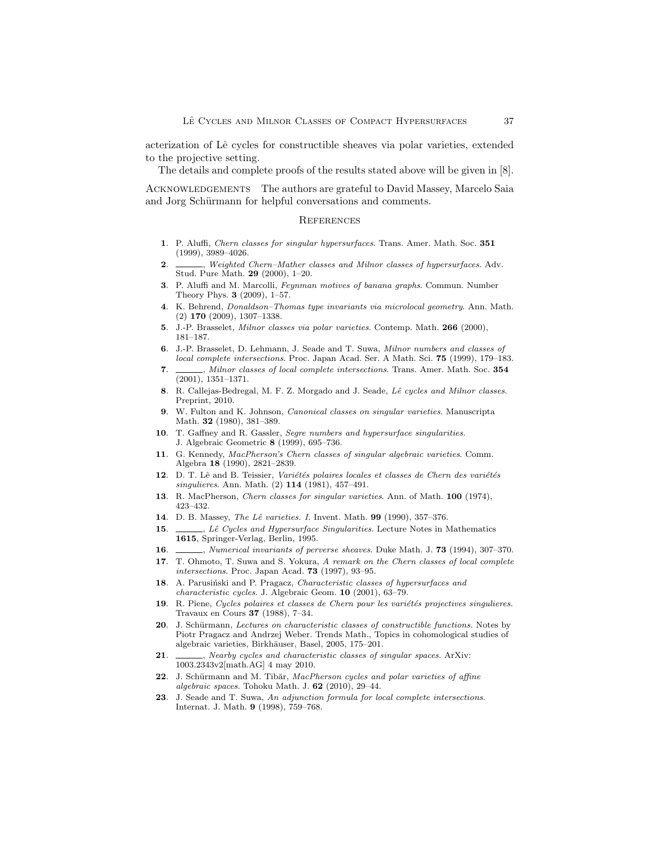acterization of Lˆe cycles for constructible sheaves via polar varieties, extended to the projective setting.

The details and complete proofs of the results stated above will be given in [8].

ACKNOWLEDGEMENTS The authors are grateful to David Massey, Marcelo Saia and Jorg Schürmann for helpful conversations and comments.

## **REFERENCES**

- 1. P. Aluffi, Chern classes for singular hypersurfaces. Trans. Amer. Math. Soc. 351 (1999), 3989–4026.
- 2. Same Electro-Mather classes and Milnor classes of hypersurfaces. Adv. Stud. Pure Math. 29 (2000), 1–20.
- 3. P. Aluffi and M. Marcolli, Feynman motives of banana graphs. Commun. Number Theory Phys. 3 (2009), 1–57.
- 4. K. Behrend, Donaldson–Thomas type invariants via microlocal geometry. Ann. Math. (2) 170 (2009), 1307–1338.
- 5. J.-P. Brasselet, Milnor classes via polar varieties. Contemp. Math. 266 (2000), 181–187.
- 6. J.-P. Brasselet, D. Lehmann, J. Seade and T. Suwa, Milnor numbers and classes of local complete intersections. Proc. Japan Acad. Ser. A Math. Sci. 75 (1999), 179–183.
- 7. Milnor classes of local complete intersections. Trans. Amer. Math. Soc. 354 (2001), 1351–1371.
- 8. R. Callejas-Bedregal, M. F. Z. Morgado and J. Seade, Lê cycles and Milnor classes. Preprint, 2010.
- 9. W. Fulton and K. Johnson, Canonical classes on singular varieties. Manuscripta Math. 32 (1980), 381–389.
- 10. T. Gaffney and R. Gassler, Segre numbers and hypersurface singularities. J. Algebraic Geometric 8 (1999), 695–736.
- 11. G. Kennedy, MacPherson's Chern classes of singular algebraic varieties. Comm. Algebra 18 (1990), 2821–2839.
- 12. D. T. Lê and B. Teissier, Variétés polaires locales et classes de Chern des variétés singulieres. Ann. Math. (2) 114 (1981), 457–491.
- 13. R. MacPherson, Chern classes for singular varieties. Ann. of Math. 100 (1974), 423–432.
- 14. D. B. Massey, The Lê varieties. I. Invent. Math. 99 (1990), 357-376.
- 15. , Lê Cycles and Hypersurface Singularities. Lecture Notes in Mathematics 1615, Springer-Verlag, Berlin, 1995.
- 16. *J. Numerical invariants of perverse sheaves.* Duke Math. J. 73 (1994), 307–370.
- 17. T. Ohmoto, T. Suwa and S. Yokura, A remark on the Chern classes of local complete intersections. Proc. Japan Acad. 73 (1997), 93–95.
- 18. A. Parusiński and P. Pragacz, Characteristic classes of hypersurfaces and characteristic cycles. J. Algebraic Geom. 10 (2001), 63–79.
- 19. R. Piene, Cycles polaires et classes de Chern pour les variétés projectives singulieres. Travaux en Cours 37 (1988), 7–34.
- 20. J. Schürmann, Lectures on characteristic classes of constructible functions. Notes by Piotr Pragacz and Andrzej Weber. Trends Math., Topics in cohomological studies of algebraic varieties, Birkh¨auser, Basel, 2005, 175–201.
- 21.  $\_\_\_\_\_\$ , Nearby cycles and characteristic classes of singular spaces. ArXiv: 1003.2343v2[math.AG] 4 may 2010.
- 22. J. Schürmann and M. Tibăr, MacPherson cycles and polar varieties of affine algebraic spaces. Tohoku Math. J.  $62$  (2010), 29–44.
- 23. J. Seade and T. Suwa, An adjunction formula for local complete intersections. Internat. J. Math. 9 (1998), 759–768.